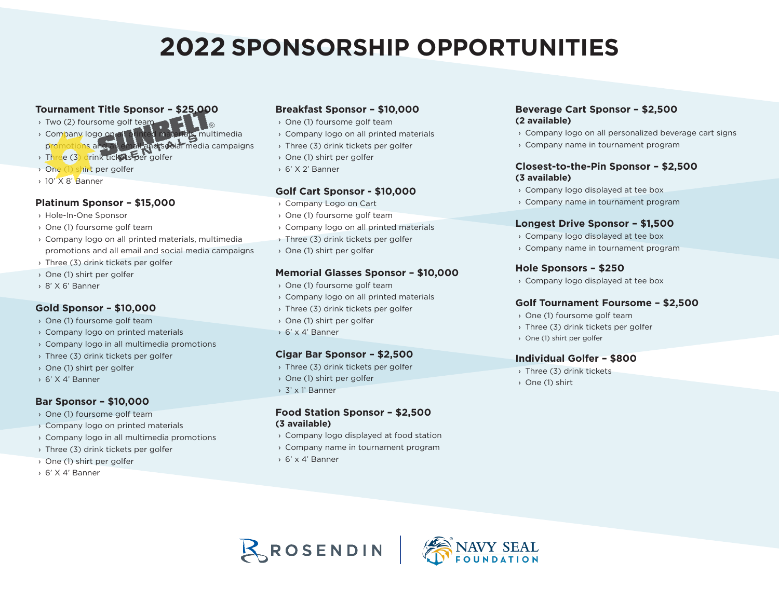# **2022 SPONSORSHIP OPPORTUNITIES**

## **Tournament Title Sponsor – \$25,000**

- › Two (2) foursome golf team
- › Company logo on all printed materials, multimedia promotions and all email and social media campaigns
- › Three (3) drink tickets per golfer
- › One (1) shirt per golfer
- › 10' X 8' Banner

#### **Platinum Sponsor – \$15,000**

- › Hole-In-One Sponsor
- › One (1) foursome golf team
- › Company logo on all printed materials, multimedia promotions and all email and social media campaigns
- › Three (3) drink tickets per golfer
- › One (1) shirt per golfer
- › 8' X 6' Banner

## **Gold Sponsor – \$10,000**

- › One (1) foursome golf team
- › Company logo on printed materials
- › Company logo in all multimedia promotions
- › Three (3) drink tickets per golfer
- › One (1) shirt per golfer
- › 6' X 4' Banner

#### **Bar Sponsor – \$10,000**

- › One (1) foursome golf team
- › Company logo on printed materials
- › Company logo in all multimedia promotions
- › Three (3) drink tickets per golfer
- › One (1) shirt per golfer
- › 6' X 4' Banner

#### **Breakfast Sponsor – \$10,000**

- › One (1) foursome golf team
- › Company logo on all printed materials
- › Three (3) drink tickets per golfer
- › One (1) shirt per golfer
- › 6' X 2' Banner

#### **Golf Cart Sponsor - \$10,000**

- › Company Logo on Cart
- › One (1) foursome golf team
- › Company logo on all printed materials
- › Three (3) drink tickets per golfer
- › One (1) shirt per golfer

#### **Memorial Glasses Sponsor – \$10,000**

- › One (1) foursome golf team
- › Company logo on all printed materials
- › Three (3) drink tickets per golfer
- › One (1) shirt per golfer
- › 6' x 4' Banner

#### **Cigar Bar Sponsor – \$2,500**

- › Three (3) drink tickets per golfer
- › One (1) shirt per golfer
- › 3' x 1' Banner

#### **Food Station Sponsor – \$2,500 (3 available)**

- › Company logo displayed at food station
- › Company name in tournament program
- › 6' x 4' Banner

#### **Beverage Cart Sponsor – \$2,500 (2 available)**

- › Company logo on all personalized beverage cart signs
- › Company name in tournament program

#### **Closest-to-the-Pin Sponsor – \$2,500 (3 available)**

- › Company logo displayed at tee box
- › Company name in tournament program

#### **Longest Drive Sponsor – \$1,500**

- › Company logo displayed at tee box
- › Company name in tournament program

#### **Hole Sponsors – \$250**

› Company logo displayed at tee box

#### **Golf Tournament Foursome – \$2,500**

- › One (1) foursome golf team
- › Three (3) drink tickets per golfer
- › One (1) shirt per golfer

#### **Individual Golfer – \$800**

- › Three (3) drink tickets
- › One (1) shirt